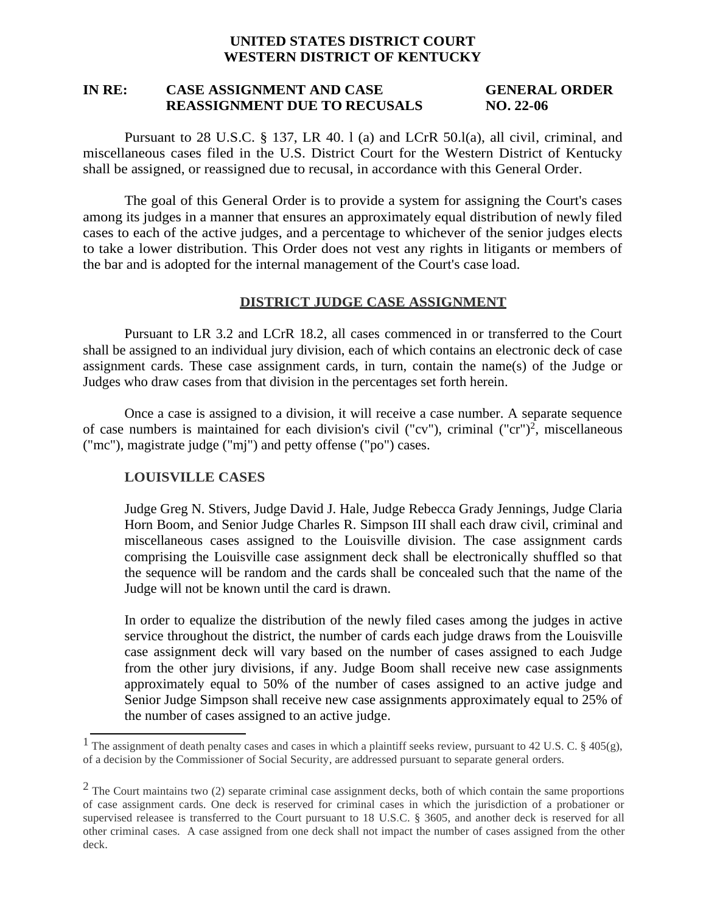# **UNITED STATES DISTRICT COURT WESTERN DISTRICT OF KENTUCKY**

# **IN RE: CASE ASSIGNMENT AND CASE GENERAL ORDER REASSIGNMENT DUE TO RECUSALS NO. 22-06**

Pursuant to 28 U.S.C. § 137, LR 40. l (a) and LCrR 50.l(a), all civil, criminal, and miscellaneous cases filed in the U.S. District Court for the Western District of Kentucky shall be assigned, or reassigned due to recusal, in accordance with this General Order.

The goal of this General Order is to provide a system for assigning the Court's cases among its judges in a manner that ensures an approximately equal distribution of newly filed cases to each of the active judges, and a percentage to whichever of the senior judges elects to take a lower distribution. This Order does not vest any rights in litigants or members of the bar and is adopted for the internal management of the Court's case load.

## **DISTRICT JUDGE CASE ASSIGNMENT**

Pursuant to LR 3.2 and LCrR 18.2, all cases commenced in or transferred to the Court shall be assigned to an individual jury division, each of which contains an electronic deck of case assignment cards. These case assignment cards, in turn, contain the name(s) of the Judge or Judges who draw cases from that division in the percentages set forth herein.

Once a case is assigned to a division, it will receive a case number. A separate sequence of case numbers is maintained for each division's civil ("cv"), criminal ("cr")<sup>2</sup>, miscellaneous ("mc"), magistrate judge ("mj") and petty offense ("po") cases.

## **LOUISVILLE CASES**

Judge Greg N. Stivers, Judge David J. Hale, Judge Rebecca Grady Jennings, Judge Claria Horn Boom, and Senior Judge Charles R. Simpson III shall each draw civil, criminal and miscellaneous cases assigned to the Louisville division. The case assignment cards comprising the Louisville case assignment deck shall be electronically shuffled so that the sequence will be random and the cards shall be concealed such that the name of the Judge will not be known until the card is drawn.

In order to equalize the distribution of the newly filed cases among the judges in active service throughout the district, the number of cards each judge draws from the Louisville case assignment deck will vary based on the number of cases assigned to each Judge from the other jury divisions, if any. Judge Boom shall receive new case assignments approximately equal to 50% of the number of cases assigned to an active judge and Senior Judge Simpson shall receive new case assignments approximately equal to 25% of the number of cases assigned to an active judge.

<sup>&</sup>lt;sup>1</sup> The assignment of death penalty cases and cases in which a plaintiff seeks review, pursuant to 42 U.S. C.  $\S$  405(g), of a decision by the Commissioner of Social Security, are addressed pursuant to separate general orders.

 $2$  The Court maintains two (2) separate criminal case assignment decks, both of which contain the same proportions of case assignment cards. One deck is reserved for criminal cases in which the jurisdiction of a probationer or supervised releasee is transferred to the Court pursuant to 18 U.S.C. § 3605, and another deck is reserved for all other criminal cases. A case assigned from one deck shall not impact the number of cases assigned from the other deck.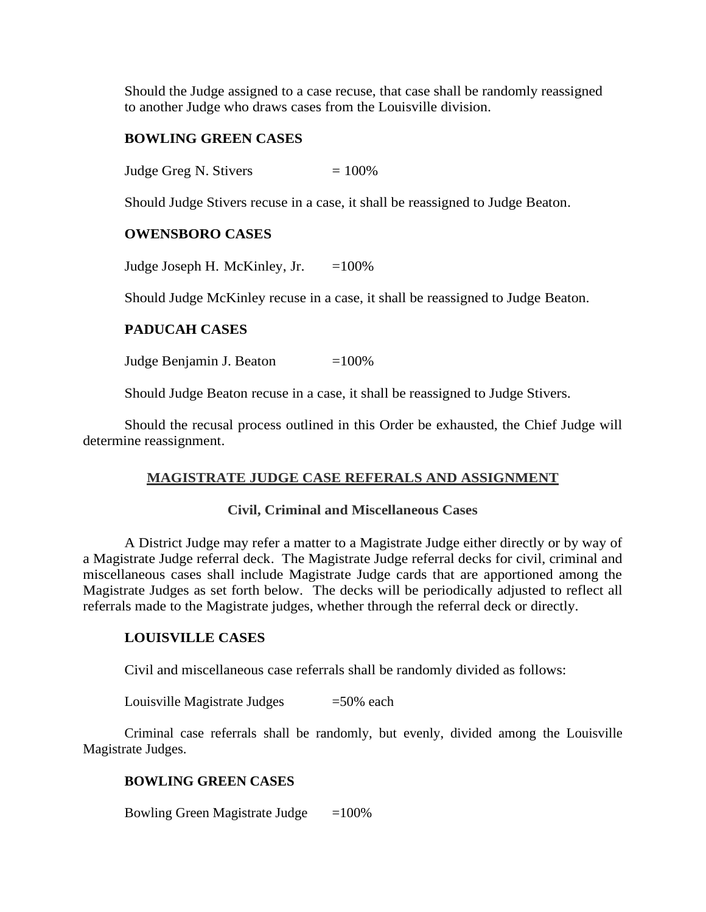Should the Judge assigned to a case recuse, that case shall be randomly reassigned to another Judge who draws cases from the Louisville division.

### **BOWLING GREEN CASES**

Judge Greg N. Stivers  $= 100\%$ 

Should Judge Stivers recuse in a case, it shall be reassigned to Judge Beaton.

### **OWENSBORO CASES**

Judge Joseph H. McKinley, Jr.  $=100\%$ 

Should Judge McKinley recuse in a case, it shall be reassigned to Judge Beaton.

# **PADUCAH CASES**

Judge Benjamin J. Beaton  $=100\%$ 

Should Judge Beaton recuse in a case, it shall be reassigned to Judge Stivers.

Should the recusal process outlined in this Order be exhausted, the Chief Judge will determine reassignment.

#### **MAGISTRATE JUDGE CASE REFERALS AND ASSIGNMENT**

### **Civil, Criminal and Miscellaneous Cases**

A District Judge may refer a matter to a Magistrate Judge either directly or by way of a Magistrate Judge referral deck. The Magistrate Judge referral decks for civil, criminal and miscellaneous cases shall include Magistrate Judge cards that are apportioned among the Magistrate Judges as set forth below. The decks will be periodically adjusted to reflect all referrals made to the Magistrate judges, whether through the referral deck or directly.

#### **LOUISVILLE CASES**

Civil and miscellaneous case referrals shall be randomly divided as follows:

Louisville Magistrate Judges  $=50\%$  each

Criminal case referrals shall be randomly, but evenly, divided among the Louisville Magistrate Judges.

### **BOWLING GREEN CASES**

Bowling Green Magistrate Judge  $=100\%$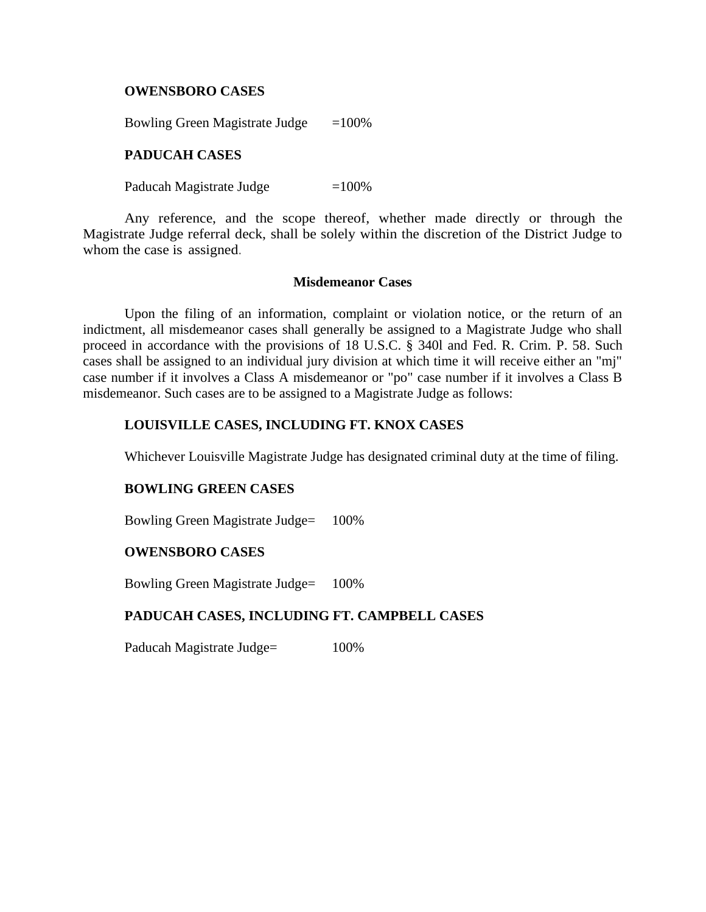### **OWENSBORO CASES**

Bowling Green Magistrate Judge  $=100\%$ 

### **PADUCAH CASES**

Paducah Magistrate Judge  $=100\%$ 

Any reference, and the scope thereof, whether made directly or through the Magistrate Judge referral deck, shall be solely within the discretion of the District Judge to whom the case is assigned.

#### **Misdemeanor Cases**

Upon the filing of an information, complaint or violation notice, or the return of an indictment, all misdemeanor cases shall generally be assigned to a Magistrate Judge who shall proceed in accordance with the provisions of 18 U.S.C. § 340l and Fed. R. Crim. P. 58. Such cases shall be assigned to an individual jury division at which time it will receive either an "mj" case number if it involves a Class A misdemeanor or "po" case number if it involves a Class B misdemeanor. Such cases are to be assigned to a Magistrate Judge as follows:

## **LOUISVILLE CASES, INCLUDING FT. KNOX CASES**

Whichever Louisville Magistrate Judge has designated criminal duty at the time of filing.

## **BOWLING GREEN CASES**

Bowling Green Magistrate Judge= 100%

### **OWENSBORO CASES**

Bowling Green Magistrate Judge= 100%

## **PADUCAH CASES, INCLUDING FT. CAMPBELL CASES**

Paducah Magistrate Judge= 100%